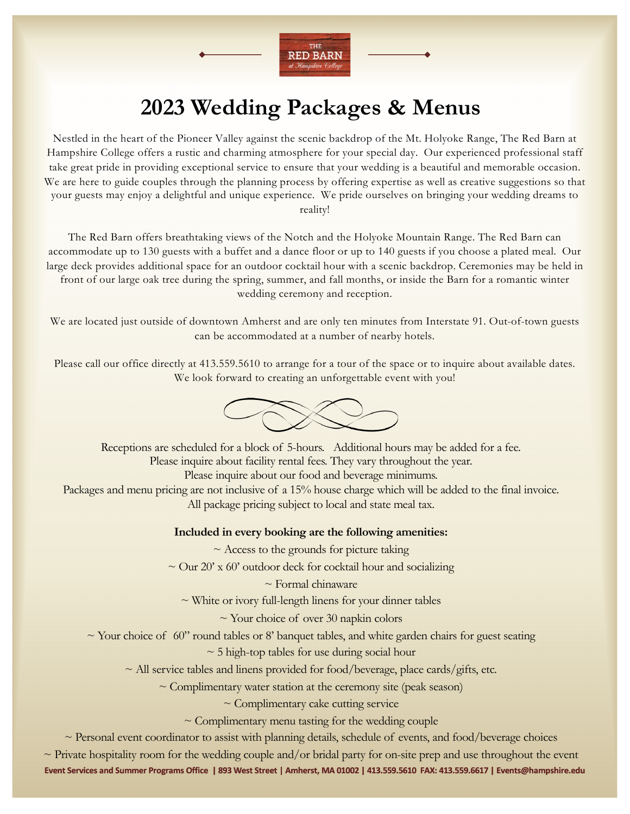

# **2023 Wedding Packages & Menus**

Nestled in the heart of the Pioneer Valley against the scenic backdrop of the Mt. Holyoke Range, The Red Barn at Hampshire College offers a rustic and charming atmosphere for your special day. Our experienced professional staff take great pride in providing exceptional service to ensure that your wedding is a beautiful and memorable occasion. We are here to guide couples through the planning process by offering expertise as well as creative suggestions so that your guests may enjoy a delightful and unique experience. We pride ourselves on bringing your wedding dreams to reality!

The Red Barn offers breathtaking views of the Notch and the Holyoke Mountain Range. The Red Barn can accommodate up to 130 guests with a buffet and a dance floor or up to 140 guests if you choose a plated meal. Our large deck provides additional space for an outdoor cocktail hour with a scenic backdrop. Ceremonies may be held in front of our large oak tree during the spring, summer, and fall months, or inside the Barn for a romantic winter wedding ceremony and reception.

We are located just outside of downtown Amherst and are only ten minutes from Interstate 91. Out-of-town guests can be accommodated at a number of nearby hotels.

Please call our office directly at 413.559.5610 to arrange for a tour of the space or to inquire about available dates. We look forward to creating an unforgettable event with you!



Receptions are scheduled for a block of 5-hours. Additional hours may be added for a fee. Please inquire about facility rental fees. They vary throughout the year. Please inquire about our food and beverage minimums. Packages and menu pricing are not inclusive of a 15% house charge which will be added to the final invoice. All package pricing subject to local and state meal tax.

#### **Included in every booking are the following amenities:**

 $\sim$  Access to the grounds for picture taking

 $\sim$  Our 20' x 60' outdoor deck for cocktail hour and socializing

 $\sim$  Formal chinaware

 $\sim$  White or ivory full-length linens for your dinner tables

 $\sim$  Your choice of over 30 napkin colors

 $\sim$  Your choice of 60" round tables or 8' banquet tables, and white garden chairs for guest seating

 $\sim$  5 high-top tables for use during social hour

 $\sim$  All service tables and linens provided for food/beverage, place cards/gifts, etc.

 $\sim$  Complimentary water station at the ceremony site (peak season)

 $\sim$  Complimentary cake cutting service

 $\sim$  Complimentary menu tasting for the wedding couple

 $\sim$  Personal event coordinator to assist with planning details, schedule of events, and food/beverage choices

**Event Services and Summer Programs Office | 893 West Street | Amherst, MA 01002 | 413.559.5610 FAX: 413.559.6617 | Events@hampshire.edu**  $\sim$  Private hospitality room for the wedding couple and/or bridal party for on-site prep and use throughout the event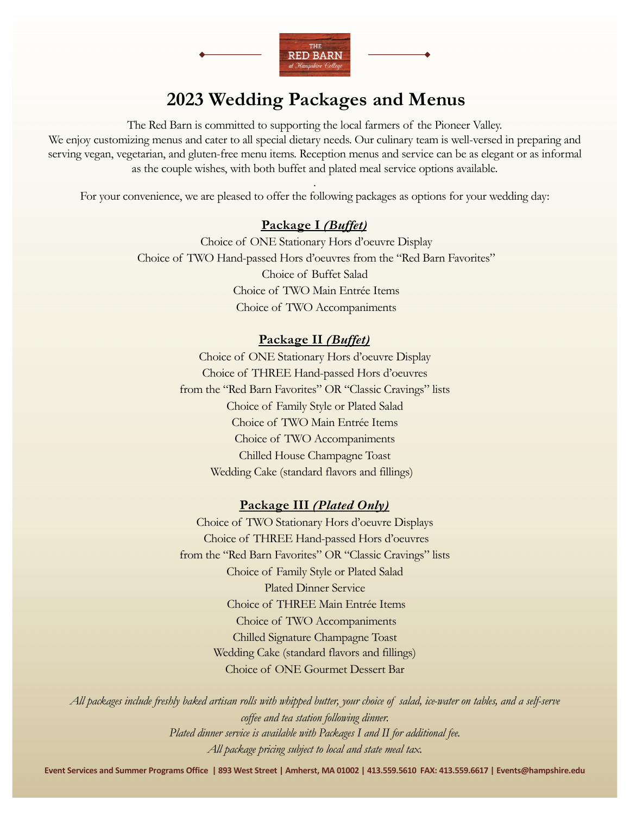

## **2023 Wedding Packages and Menus**

The Red Barn is committed to supporting the local farmers of the Pioneer Valley. We enjoy customizing menus and cater to all special dietary needs. Our culinary team is well-versed in preparing and serving vegan, vegetarian, and gluten-free menu items. Reception menus and service can be as elegant or as informal as the couple wishes, with both buffet and plated meal service options available.

. For your convenience, we are pleased to offer the following packages as options for your wedding day:

#### **Package I** *(Buffet)*

Choice of ONE Stationary Hors d'oeuvre Display Choice of TWO Hand-passed Hors d'oeuvres from the "Red Barn Favorites" Choice of Buffet Salad Choice of TWO Main Entrée Items Choice of TWO Accompaniments

#### **Package II** *(Buffet)*

Choice of ONE Stationary Hors d'oeuvre Display Choice of THREE Hand-passed Hors d'oeuvres from the "Red Barn Favorites" OR "Classic Cravings" lists Choice of Family Style or Plated Salad Choice of TWO Main Entrée Items Choice of TWO Accompaniments Chilled House Champagne Toast Wedding Cake (standard flavors and fillings)

#### **Package III** *(Plated Only)*

Choice of TWO Stationary Hors d'oeuvre Displays Choice of THREE Hand-passed Hors d'oeuvres from the "Red Barn Favorites" OR "Classic Cravings" lists Choice of Family Style or Plated Salad Plated Dinner Service Choice of THREE Main Entrée Items Choice of TWO Accompaniments Chilled Signature Champagne Toast Wedding Cake (standard flavors and fillings) Choice of ONE Gourmet Dessert Bar

*All packages include freshly baked artisan rolls with whipped butter, your choice of salad, ice-water on tables, and a self-serve coffee and tea station following dinner. Plated dinner service is available with Packages I and II for additional fee. All package pricing subject to local and state meal tax.* 

**Event Services and Summer Programs Office | 893 West Street | Amherst, MA 01002 | 413.559.5610 FAX: 413.559.6617 | Events@hampshire.edu**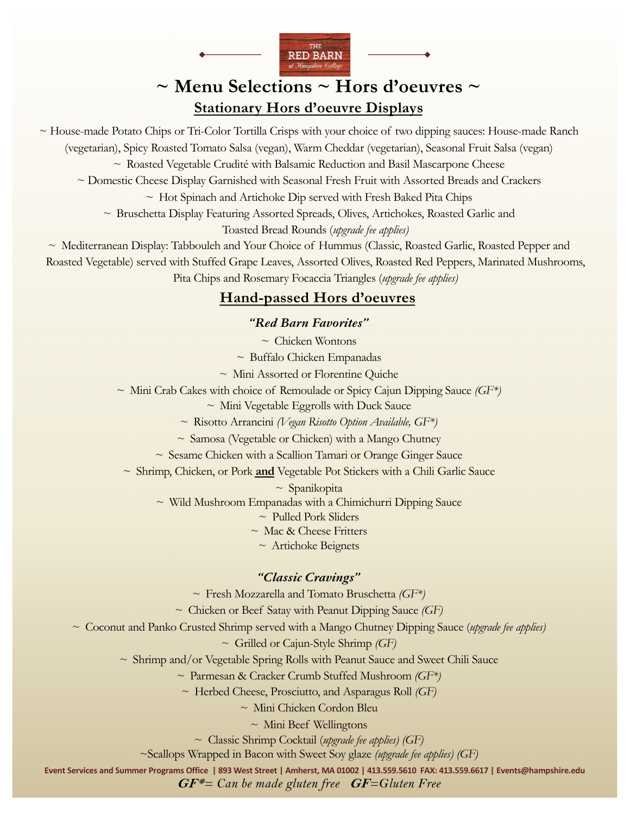

## **~ Menu Selections ~ Hors d'oeuvres ~ Stationary Hors d'oeuvre Displays**

~ House-made Potato Chips or Tri-Color Tortilla Crisps with your choice of two dipping sauces: House-made Ranch (vegetarian), Spicy Roasted Tomato Salsa (vegan), Warm Cheddar (vegetarian), Seasonal Fruit Salsa (vegan)  $\sim$  Roasted Vegetable Crudité with Balsamic Reduction and Basil Mascarpone Cheese

~ Domestic Cheese Display Garnished with Seasonal Fresh Fruit with Assorted Breads and Crackers

 $\sim$  Hot Spinach and Artichoke Dip served with Fresh Baked Pita Chips

 $\sim$  Bruschetta Display Featuring Assorted Spreads, Olives, Artichokes, Roasted Garlic and

Toasted Bread Rounds (*upgrade fee applies)*

~ Mediterranean Display: Tabbouleh and Your Choice of Hummus (Classic, Roasted Garlic, Roasted Pepper and Roasted Vegetable) served with Stuffed Grape Leaves, Assorted Olives, Roasted Red Peppers, Marinated Mushrooms,

Pita Chips and Rosemary Focaccia Triangles (*upgrade fee applies)*

### **Hand-passed Hors d'oeuvres**

#### *"Red Barn Favorites"*

 $\sim$  Chicken Wontons

 $\sim$  Buffalo Chicken Empanadas

~ Mini Assorted or Florentine Quiche

~ Mini Crab Cakes with choice of Remoulade or Spicy Cajun Dipping Sauce *(GF\*)*

 $\sim$  Mini Vegetable Eggrolls with Duck Sauce

~ Risotto Arrancini *(Vegan Risotto Option Available, GF\*)* 

 $\sim$  Samosa (Vegetable or Chicken) with a Mango Chutney

 $\sim$  Sesame Chicken with a Scallion Tamari or Orange Ginger Sauce

~ Shrimp, Chicken, or Pork **and** Vegetable Pot Stickers with a Chili Garlic Sauce

 $\sim$  Spanikopita

 $\sim$  Wild Mushroom Empanadas with a Chimichurri Dipping Sauce

 $\sim$  Pulled Pork Sliders

~ Mac & Cheese Fritters

 $\sim$  Artichoke Beignets

#### *"Classic Cravings"*

~ Fresh Mozzarella and Tomato Bruschetta *(GF\*)*

~ Chicken or Beef Satay with Peanut Dipping Sauce *(GF)*

~ Coconut and Panko Crusted Shrimp served with a Mango Chutney Dipping Sauce (*upgrade fee applies)*

~ Grilled or Cajun-Style Shrimp *(GF)*

 $\sim$  Shrimp and/or Vegetable Spring Rolls with Peanut Sauce and Sweet Chili Sauce

~ Parmesan & Cracker Crumb Stuffed Mushroom *(GF\*)*

~ Herbed Cheese, Prosciutto, and Asparagus Roll *(GF)*

~ Mini Chicken Cordon Bleu

 $\sim$  Mini Beef Wellingtons

~ Classic Shrimp Cocktail (*upgrade fee applies) (GF)*

~Scallops Wrapped in Bacon with Sweet Soy glaze *(upgrade fee applies) (GF)*

**Event Services and Summer Programs Office | 893 West Street | Amherst, MA 01002 | 413.559.5610 FAX: 413.559.6617 | Events@hampshire.edu GF\****= Can be made gluten free* **GF***=Gluten Free*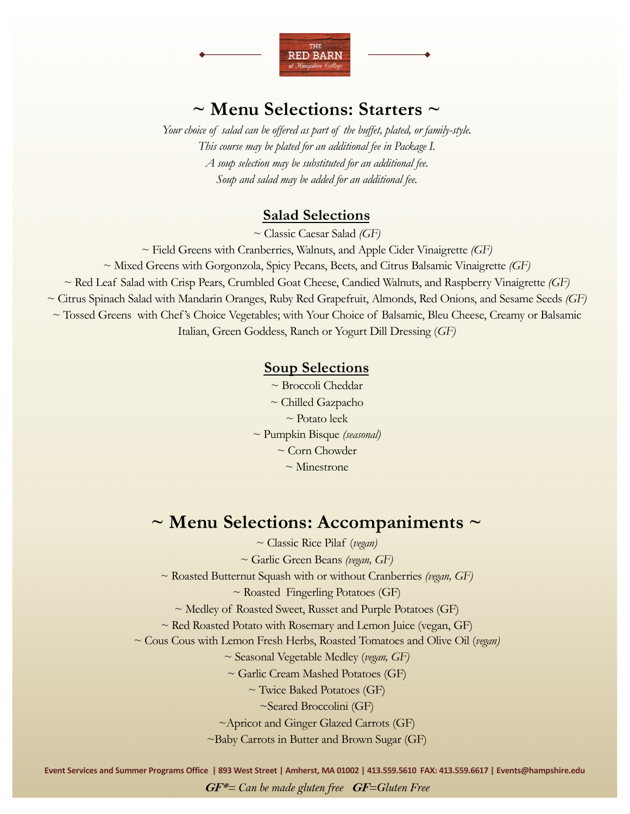

## **~ Menu Selections: Starters ~**

*Your choice of salad can be offered as part of the buffet, plated, or family-style. This course may be plated for an additional fee in Package I. A soup selection may be substituted for an additional fee. Soup and salad may be added for an additional fee.*

#### **Salad Selections**

~ Classic Caesar Salad *(GF)*

~ Field Greens with Cranberries, Walnuts, and Apple Cider Vinaigrette *(GF)*

~ Mixed Greens with Gorgonzola, Spicy Pecans, Beets, and Citrus Balsamic Vinaigrette *(GF)*

~ Red Leaf Salad with Crisp Pears, Crumbled Goat Cheese, Candied Walnuts, and Raspberry Vinaigrette *(GF)*

~ Citrus Spinach Salad with Mandarin Oranges, Ruby Red Grapefruit, Almonds, Red Onions, and Sesame Seeds *(GF)*

~ Tossed Greens with Chef's Choice Vegetables; with Your Choice of Balsamic, Bleu Cheese, Creamy or Balsamic

Italian, Green Goddess, Ranch or Yogurt Dill Dressing (*GF)*

#### **Soup Selections**

~ Broccoli Cheddar ~ Chilled Gazpacho ~ Potato leek ~ Pumpkin Bisque *(seasonal)* ~ Corn Chowder  $\sim$  Minestrone

## **~ Menu Selections: Accompaniments ~**

~ Classic Rice Pilaf (*vegan)*

~ Garlic Green Beans *(vegan, GF)*

~ Roasted Butternut Squash with or without Cranberries *(vegan, GF)*

 $\sim$  Roasted Fingerling Potatoes (GF)

~ Medley of Roasted Sweet, Russet and Purple Potatoes (GF)

 $\sim$  Red Roasted Potato with Rosemary and Lemon Juice (vegan, GF)

~ Cous Cous with Lemon Fresh Herbs, Roasted Tomatoes and Olive Oil (*vegan)*

~ Seasonal Vegetable Medley (*vegan, GF)*

 $\sim$  Garlic Cream Mashed Potatoes (GF)

~ Twice Baked Potatoes (GF)

~Seared Broccolini (GF)

~Apricot and Ginger Glazed Carrots (GF)

~Baby Carrots in Butter and Brown Sugar (GF)

**Event Services and Summer Programs Office | 893 West Street | Amherst, MA 01002 | 413.559.5610 FAX: 413.559.6617 | Events@hampshire.edu GF\****= Can be made gluten free* **GF***=Gluten Free*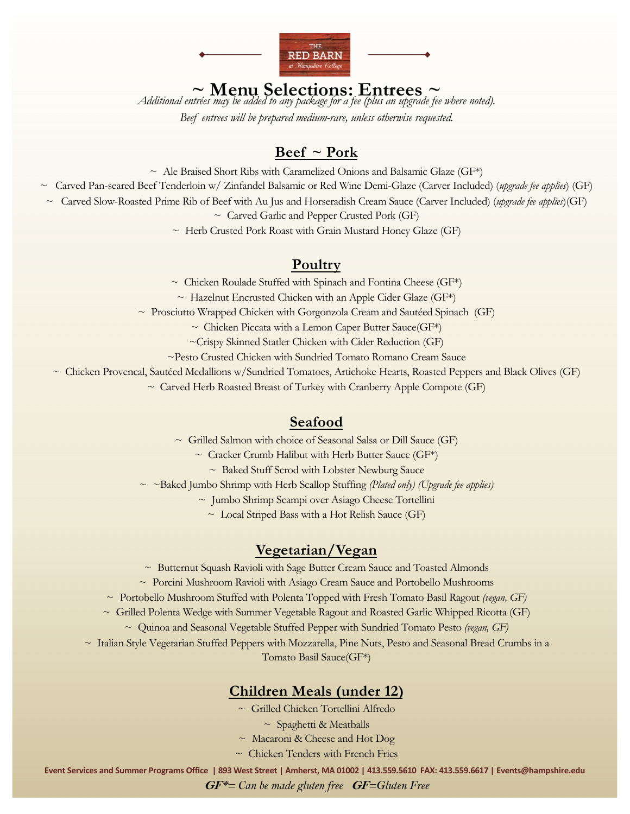

**~ Menu Selections: Entrees ~** *Additional entrées may be added to any package for a fee (plus an upgrade fee where noted).*

*Beef entrees will be prepared medium-rare, unless otherwise requested.*

### **Beef ~ Pork**

 $\sim$  Ale Braised Short Ribs with Caramelized Onions and Balsamic Glaze (GF\*)

~ Carved Pan-seared Beef Tenderloin w/ Zinfandel Balsamic or Red Wine Demi-Glaze (Carver Included) (*upgrade fee applies*) (GF)

~ Carved Slow-Roasted Prime Rib of Beef with Au Jus and Horseradish Cream Sauce (Carver Included) (*upgrade fee applies*)(GF)

 $\sim$  Carved Garlic and Pepper Crusted Pork (GF)

~ Herb Crusted Pork Roast with Grain Mustard Honey Glaze (GF)

#### **Poultry**

 $\sim$  Chicken Roulade Stuffed with Spinach and Fontina Cheese (GF\*)

 $\sim$  Hazelnut Encrusted Chicken with an Apple Cider Glaze (GF\*)

 $\sim$  Prosciutto Wrapped Chicken with Gorgonzola Cream and Sautéed Spinach (GF)

 $\sim$  Chicken Piccata with a Lemon Caper Butter Sauce(GF\*)

~Crispy Skinned Statler Chicken with Cider Reduction (GF)

~Pesto Crusted Chicken with Sundried Tomato Romano Cream Sauce

~ Chicken Provencal, Sautéed Medallions w/Sundried Tomatoes, Artichoke Hearts, Roasted Peppers and Black Olives (GF)

 $\sim$  Carved Herb Roasted Breast of Turkey with Cranberry Apple Compote (GF)

#### **Seafood**

~ Grilled Salmon with choice of Seasonal Salsa or Dill Sauce (GF)

 $\sim$  Cracker Crumb Halibut with Herb Butter Sauce (GF\*)

 $\sim$  Baked Stuff Scrod with Lobster Newburg Sauce

~ ~Baked Jumbo Shrimp with Herb Scallop Stuffing *(Plated only) (Upgrade fee applies)* 

~ Jumbo Shrimp Scampi over Asiago Cheese Tortellini

 $\sim$  Local Striped Bass with a Hot Relish Sauce (GF)

#### **Vegetarian/Vegan**

~ Butternut Squash Ravioli with Sage Butter Cream Sauce and Toasted Almonds

~ Porcini Mushroom Ravioli with Asiago Cream Sauce and Portobello Mushrooms

~ Portobello Mushroom Stuffed with Polenta Topped with Fresh Tomato Basil Ragout *(vegan, GF)*

 $\sim$  Grilled Polenta Wedge with Summer Vegetable Ragout and Roasted Garlic Whipped Ricotta (GF)

~ Quinoa and Seasonal Vegetable Stuffed Pepper with Sundried Tomato Pesto *(vegan, GF)*

~ Italian Style Vegetarian Stuffed Peppers with Mozzarella, Pine Nuts, Pesto and Seasonal Bread Crumbs in a Tomato Basil Sauce(GF\*)

### **Children Meals (under 12)**

~ Grilled Chicken Tortellini Alfredo

 $\sim$  Spaghetti & Meatballs

 $\sim$  Macaroni & Cheese and Hot Dog

 $\sim$  Chicken Tenders with French Fries

**Event Services and Summer Programs Office | 893 West Street | Amherst, MA 01002 | 413.559.5610 FAX: 413.559.6617 | Events@hampshire.edu**

**GF\****= Can be made gluten free* **GF***=Gluten Free*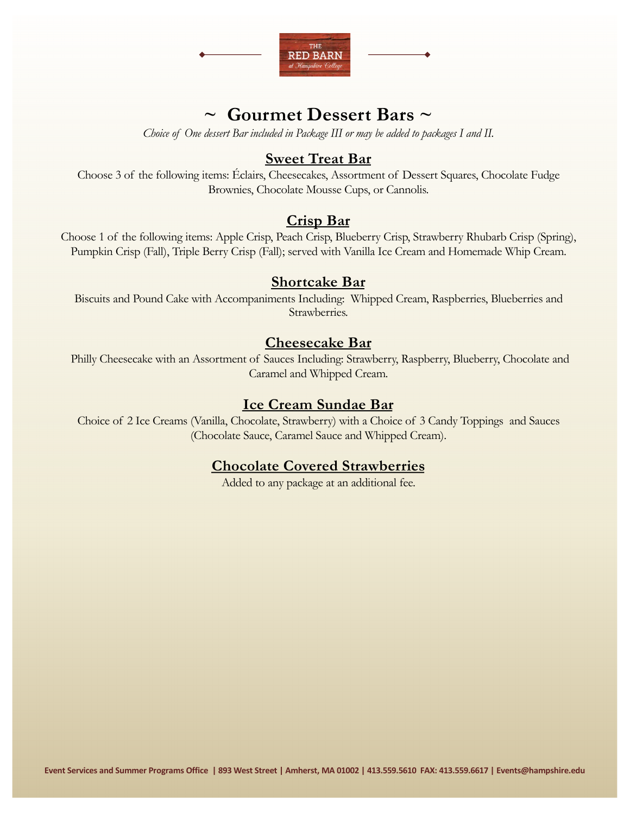

## **~ Gourmet Dessert Bars ~**

*Choice of One dessert Bar included in Package III or may be added to packages I and II.* 

#### **Sweet Treat Bar**

Choose 3 of the following items: Éclairs, Cheesecakes, Assortment of Dessert Squares, Chocolate Fudge Brownies, Chocolate Mousse Cups, or Cannolis.

#### **Crisp Bar**

Choose 1 of the following items: Apple Crisp, Peach Crisp, Blueberry Crisp, Strawberry Rhubarb Crisp (Spring), Pumpkin Crisp (Fall), Triple Berry Crisp (Fall); served with Vanilla Ice Cream and Homemade Whip Cream.

#### **Shortcake Bar**

Biscuits and Pound Cake with Accompaniments Including: Whipped Cream, Raspberries, Blueberries and Strawberries.

#### **Cheesecake Bar**

Philly Cheesecake with an Assortment of Sauces Including: Strawberry, Raspberry, Blueberry, Chocolate and Caramel and Whipped Cream.

### **Ice Cream Sundae Bar**

Choice of 2 Ice Creams (Vanilla, Chocolate, Strawberry) with a Choice of 3 Candy Toppings and Sauces (Chocolate Sauce, Caramel Sauce and Whipped Cream).

### **Chocolate Covered Strawberries**

Added to any package at an additional fee.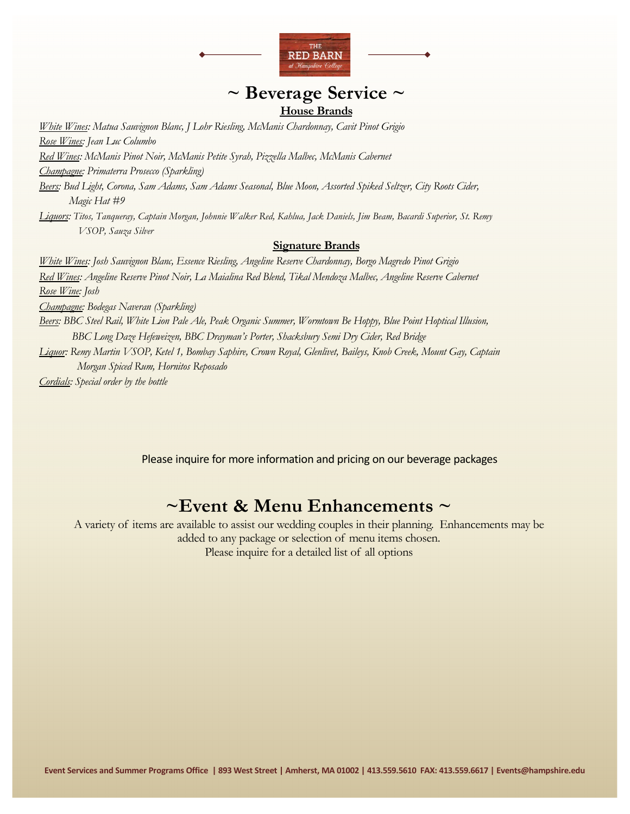

### **~ Beverage Service ~ House Brands**

*White Wines: Matua Sauvignon Blanc, J Lohr Riesling, McManis Chardonnay, Cavit Pinot Grigio Rose Wines: Jean Luc Columbo Red Wines: McManis Pinot Noir, McManis Petite Syrah, Pizzella Malbec, McManis Cabernet Champagne: Primaterra Prosecco (Sparkling) Beers: Bud Light, Corona, Sam Adams, Sam Adams Seasonal, Blue Moon, Assorted Spiked Seltzer, City Roots Cider, Magic Hat #9 Liquors: Titos, Tanqueray, Captain Morgan, Johnnie Walker Red, Kahlua, Jack Daniels, Jim Beam, Bacardi Superior, St. Remy VSOP, Sauza Silver*  **Signature Brands** *White Wines: Josh Sauvignon Blanc, Essence Riesling, Angeline Reserve Chardonnay, Borgo Magredo Pinot Grigio Red Wines: Angeline Reserve Pinot Noir, La Maialina Red Blend, Tikal Mendoza Malbec, Angeline Reserve Cabernet Rose Wine: Josh Champagne: Bodegas Naveran (Sparkling)* 

*Beers: BBC Steel Rail, White Lion Pale Ale, Peak Organic Summer, Wormtown Be Hoppy, Blue Point Hoptical Illusion, BBC Long Daze Hefeweizen, BBC Drayman's Porter, Shacksbury Semi Dry Cider, Red Bridge* 

*Liquor: Remy Martin VSOP, Ketel 1, Bombay Saphire, Crown Royal, Glenlivet, Baileys, Knob Creek, Mount Gay, Captain Morgan Spiced Rum, Hornitos Reposado*

*Cordials: Special order by the bottle* 

Please inquire for more information and pricing on our beverage packages

## **~Event & Menu Enhancements ~**

A variety of items are available to assist our wedding couples in their planning. Enhancements may be added to any package or selection of menu items chosen. Please inquire for a detailed list of all options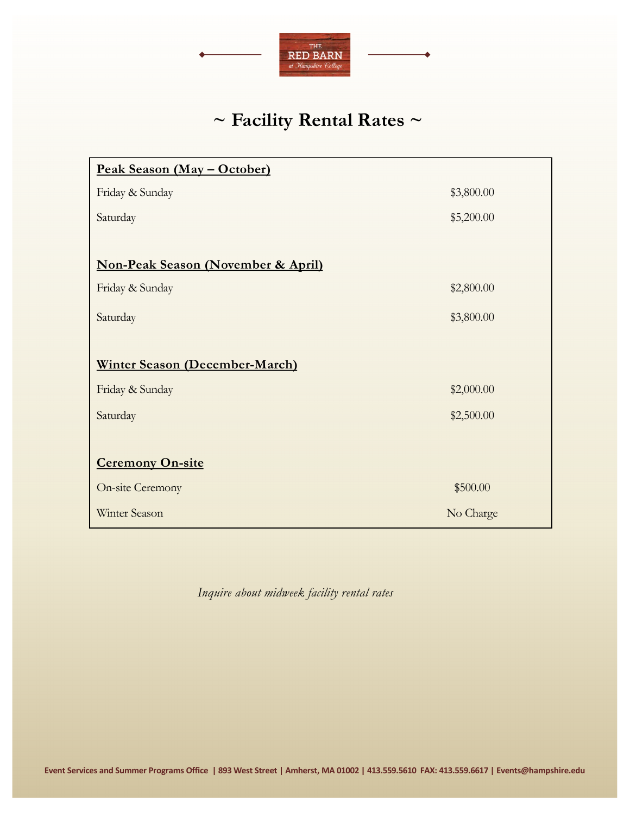

# **~ Facility Rental Rates ~**

| <u> Peak Season (May – October)</u>           |            |
|-----------------------------------------------|------------|
| Friday & Sunday                               | \$3,800.00 |
| Saturday                                      | \$5,200.00 |
|                                               |            |
| <b>Non-Peak Season (November &amp; April)</b> |            |
| Friday & Sunday                               | \$2,800.00 |
| Saturday                                      | \$3,800.00 |
|                                               |            |
| <b>Winter Season (December-March)</b>         |            |
| Friday & Sunday                               | \$2,000.00 |
| Saturday                                      | \$2,500.00 |
|                                               |            |
| <b>Ceremony On-site</b>                       |            |
| <b>On-site Ceremony</b>                       | \$500.00   |
| Winter Season                                 | No Charge  |

*Inquire about midweek facility rental rates*